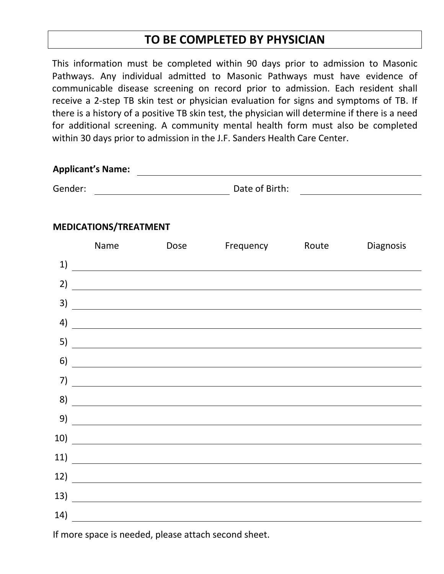## **TO BE COMPLETED BY PHYSICIAN**

This information must be completed within 90 days prior to admission to Masonic Pathways. Any individual admitted to Masonic Pathways must have evidence of communicable disease screening on record prior to admission. Each resident shall receive a 2-step TB skin test or physician evaluation for signs and symptoms of TB. If there is a history of a positive TB skin test, the physician will determine if there is a need for additional screening. A community mental health form must also be completed within 30 days prior to admission in the J.F. Sanders Health Care Center.

| <b>Applicant's Name:</b> |  |
|--------------------------|--|
|                          |  |

Gender: Contract Contract Contract Contract Contract Date of Birth:

## **MEDICATIONS/TREATMENT**

|     | Name                                                                                                                  | Dose                                                                                                                  | Frequency                                                                                                             | Route | Diagnosis |
|-----|-----------------------------------------------------------------------------------------------------------------------|-----------------------------------------------------------------------------------------------------------------------|-----------------------------------------------------------------------------------------------------------------------|-------|-----------|
| 1)  |                                                                                                                       | <u> 1989 - Andrea Andrew Maria (h. 1989).</u>                                                                         |                                                                                                                       |       |           |
| 2)  |                                                                                                                       | <u> 1989 - Johann Stoff, deutscher Stoffen und der Stoffen und der Stoffen und der Stoffen und der Stoffen und de</u> |                                                                                                                       |       |           |
| 3)  |                                                                                                                       |                                                                                                                       | <u> 1989 - Jan Samuel Barbara, martin da shekara ta 1980 - An tsara tsara tsara tsara tsara tsara tsara tsara ts</u>  |       |           |
| 4)  | <u> 1980 - Johann Barbara, martxa a shekara 1980 - An tsaran 1980 - An tsara 1980 - An tsara 1980 - An tsara 198</u>  |                                                                                                                       |                                                                                                                       |       |           |
| 5)  |                                                                                                                       |                                                                                                                       | <u> 1989 - Andrea Andrewski, amerikansk politik (d. 1989)</u>                                                         |       |           |
| 6)  | <u> 1980 - Andrea Albert III, poet e post a provincia de la provincia de la provincia de la provincia de la provi</u> |                                                                                                                       |                                                                                                                       |       |           |
| 7)  |                                                                                                                       |                                                                                                                       |                                                                                                                       |       |           |
| 8)  |                                                                                                                       |                                                                                                                       | <u> 1989 - Andrea Santa Alemania, amerikana amerikana amerikana amerikana amerikana amerikana amerikana amerikan</u>  |       |           |
| 9)  |                                                                                                                       |                                                                                                                       | <u> 1989 - Johann Stoff, deutscher Stoff, der Stoff, der Stoff, der Stoff, der Stoff, der Stoff, der Stoff, der S</u> |       |           |
| 10) |                                                                                                                       |                                                                                                                       |                                                                                                                       |       |           |
| 11) |                                                                                                                       |                                                                                                                       |                                                                                                                       |       |           |
| 12) | <u> 1980 - Johann Barn, mars eta bainar eta baina eta baina eta baina eta baina eta baina eta baina eta baina e</u>   |                                                                                                                       |                                                                                                                       |       |           |
| 13) |                                                                                                                       |                                                                                                                       |                                                                                                                       |       |           |
| 14) |                                                                                                                       | <u> 1989 - John Stein, amerikansk politiker (</u>                                                                     |                                                                                                                       |       |           |

If more space is needed, please attach second sheet.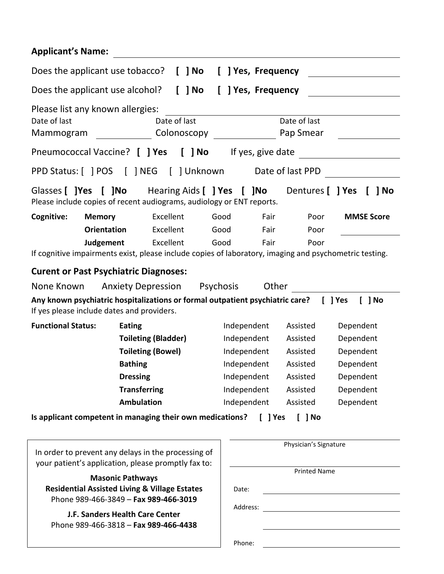| <b>Applicant's Name:</b>                                                                                                            |                    |                           |                      |  |  |  |
|-------------------------------------------------------------------------------------------------------------------------------------|--------------------|---------------------------|----------------------|--|--|--|
| Does the applicant use tobacco?<br>$[$ $]$ No                                                                                       | [ ] Yes, Frequency |                           |                      |  |  |  |
| $[$ $]$ No<br>Does the applicant use alcohol?<br>J Yes, Frequency                                                                   |                    |                           |                      |  |  |  |
| Please list any known allergies:<br>Date of last<br>Date of last<br>Colonoscopy _<br>Mammogram                                      |                    | Date of last<br>Pap Smear |                      |  |  |  |
| Pneumococcal Vaccine? [ ] Yes<br>$\lceil$ $\rceil$ No                                                                               | If yes, give date  |                           |                      |  |  |  |
|                                                                                                                                     |                    | Date of last PPD          |                      |  |  |  |
| Glasses [ ] Yes [ ] No Hearing Aids [ ] Yes [ ] No<br>Please include copies of recent audiograms, audiology or ENT reports.         |                    | Dentures [ ] Yes          | $\lceil$ $\rceil$ No |  |  |  |
| Cognitive:<br>Excellent<br><b>Memory</b>                                                                                            | Good<br>Fair       | Poor                      | <b>MMSE Score</b>    |  |  |  |
| Excellent<br><b>Orientation</b>                                                                                                     | Good<br>Fair       | Poor                      |                      |  |  |  |
| Excellent<br>Judgement<br>If cognitive impairments exist, please include copies of laboratory, imaging and psychometric testing.    | Good<br>Fair       | Poor                      |                      |  |  |  |
| <b>Curent or Past Psychiatric Diagnoses:</b>                                                                                        |                    |                           |                      |  |  |  |
| None Known<br><b>Anxiety Depression</b>                                                                                             | Psychosis          | Other                     |                      |  |  |  |
| Any known psychiatric hospitalizations or formal outpatient psychiatric care? [ ] Yes<br>If yes please include dates and providers. |                    |                           | 1 No                 |  |  |  |
| <b>Functional Status:</b><br><b>Eating</b>                                                                                          | Independent        | Assisted                  | Dependent            |  |  |  |
| <b>Toileting (Bladder)</b>                                                                                                          | Independent        | Assisted                  | Dependent            |  |  |  |
| <b>Toileting (Bowel)</b>                                                                                                            | Independent        | Assisted                  | Dependent            |  |  |  |
| <b>Bathing</b>                                                                                                                      | Independent        | Assisted                  | Dependent            |  |  |  |
| <b>Dressing</b>                                                                                                                     | Independent        | Assisted                  | Dependent            |  |  |  |
| <b>Transferring</b>                                                                                                                 | Independent        | Assisted                  | Dependent            |  |  |  |
| <b>Ambulation</b>                                                                                                                   | Independent        | Assisted                  | Dependent            |  |  |  |
| Is applicant competent in managing their own medications?                                                                           |                    | [ ] Yes<br>$[$ $]$ No     |                      |  |  |  |
| In order to prevent any delays in the processing of<br>your patient's application, please promptly fax to:                          |                    | Physician's Signature     |                      |  |  |  |
|                                                                                                                                     |                    | <b>Printed Name</b>       |                      |  |  |  |
| <b>Masonic Pathways</b><br><b>Residential Assisted Living &amp; Village Estates</b><br>Phone 989-466-3849 - Fax 989-466-3019        | Date:              |                           |                      |  |  |  |
|                                                                                                                                     | Address:           |                           |                      |  |  |  |
| J.F. Sanders Health Care Center<br>Phone 989-466-3818 - Fax 989-466-4438                                                            |                    |                           |                      |  |  |  |
|                                                                                                                                     | Phone:             |                           |                      |  |  |  |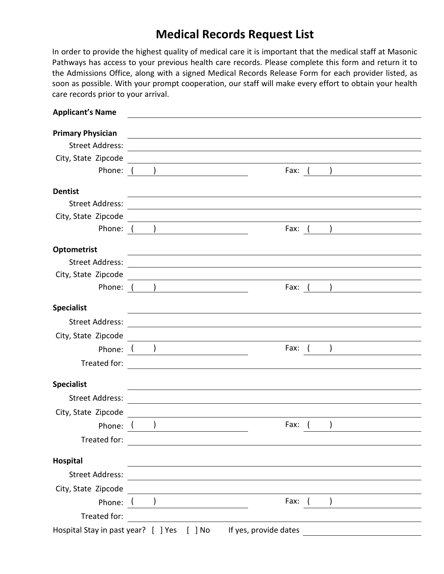## **Medical Records Request List**

In order to provide the highest quality of medical care it is important that the medical staff at Masonic Pathways has access to your previous health care records. Please complete this form and return it to the Admissions Office, along with a signed Medical Records Release Form for each provider listed, as soon as possible. With your prompt cooperation, our staff will make every effort to obtain your health care records prior to your arrival.

| <b>Primary Physician</b><br><b>Street Address:</b><br><u> 1989 - Johann Stoff, deutscher Stoffen und der Stoffen und der Stoffen und der Stoffen und der Stoffen und der</u><br>City, State Zipcode<br><u> Alexandria de la contrada de la contrada de la contrada de la contrada de la contrada de la contrada de la c</u><br>Phone: $($ )<br>Fax: ( )<br><b>Dentist</b><br>the control of the control of the control of the control of the control of the control of the control of the control of the control of the control of the control of the control of the control of the control of the control<br>Street Address: <u>Communication</u><br>City, State Zipcode<br><u> Alexandria de la contrada de la contrada de la contrada de la contrada de la contrada de la contrada de la c</u><br>Fax: ( ) <u>___________________</u><br>Optometrist<br><u> 1989 - Johann Stoff, amerikansk politiker (d. 1989)</u><br>Phone: ( )<br>Fax: $($ and $)$<br><b>Specialist</b><br>City, State Zipcode<br><u> 1989 - Johann Barn, mars ann an t-Amhain Aonaichte ann an t-Aonaichte ann an t-Aonaichte ann an t-Aonaichte a</u><br>Phone: $\begin{pmatrix} 1 & 1 \\ 1 & 1 \end{pmatrix}$<br>Fax: $($ )<br>Treated for:<br><u> 1989 - John Stein, Amerikaansk politiker (</u><br><b>Specialist</b> |
|-------------------------------------------------------------------------------------------------------------------------------------------------------------------------------------------------------------------------------------------------------------------------------------------------------------------------------------------------------------------------------------------------------------------------------------------------------------------------------------------------------------------------------------------------------------------------------------------------------------------------------------------------------------------------------------------------------------------------------------------------------------------------------------------------------------------------------------------------------------------------------------------------------------------------------------------------------------------------------------------------------------------------------------------------------------------------------------------------------------------------------------------------------------------------------------------------------------------------------------------------------------------------------------------------|
|                                                                                                                                                                                                                                                                                                                                                                                                                                                                                                                                                                                                                                                                                                                                                                                                                                                                                                                                                                                                                                                                                                                                                                                                                                                                                                 |
|                                                                                                                                                                                                                                                                                                                                                                                                                                                                                                                                                                                                                                                                                                                                                                                                                                                                                                                                                                                                                                                                                                                                                                                                                                                                                                 |
|                                                                                                                                                                                                                                                                                                                                                                                                                                                                                                                                                                                                                                                                                                                                                                                                                                                                                                                                                                                                                                                                                                                                                                                                                                                                                                 |
|                                                                                                                                                                                                                                                                                                                                                                                                                                                                                                                                                                                                                                                                                                                                                                                                                                                                                                                                                                                                                                                                                                                                                                                                                                                                                                 |
|                                                                                                                                                                                                                                                                                                                                                                                                                                                                                                                                                                                                                                                                                                                                                                                                                                                                                                                                                                                                                                                                                                                                                                                                                                                                                                 |
|                                                                                                                                                                                                                                                                                                                                                                                                                                                                                                                                                                                                                                                                                                                                                                                                                                                                                                                                                                                                                                                                                                                                                                                                                                                                                                 |
|                                                                                                                                                                                                                                                                                                                                                                                                                                                                                                                                                                                                                                                                                                                                                                                                                                                                                                                                                                                                                                                                                                                                                                                                                                                                                                 |
|                                                                                                                                                                                                                                                                                                                                                                                                                                                                                                                                                                                                                                                                                                                                                                                                                                                                                                                                                                                                                                                                                                                                                                                                                                                                                                 |
|                                                                                                                                                                                                                                                                                                                                                                                                                                                                                                                                                                                                                                                                                                                                                                                                                                                                                                                                                                                                                                                                                                                                                                                                                                                                                                 |
|                                                                                                                                                                                                                                                                                                                                                                                                                                                                                                                                                                                                                                                                                                                                                                                                                                                                                                                                                                                                                                                                                                                                                                                                                                                                                                 |
|                                                                                                                                                                                                                                                                                                                                                                                                                                                                                                                                                                                                                                                                                                                                                                                                                                                                                                                                                                                                                                                                                                                                                                                                                                                                                                 |
|                                                                                                                                                                                                                                                                                                                                                                                                                                                                                                                                                                                                                                                                                                                                                                                                                                                                                                                                                                                                                                                                                                                                                                                                                                                                                                 |
|                                                                                                                                                                                                                                                                                                                                                                                                                                                                                                                                                                                                                                                                                                                                                                                                                                                                                                                                                                                                                                                                                                                                                                                                                                                                                                 |
|                                                                                                                                                                                                                                                                                                                                                                                                                                                                                                                                                                                                                                                                                                                                                                                                                                                                                                                                                                                                                                                                                                                                                                                                                                                                                                 |
|                                                                                                                                                                                                                                                                                                                                                                                                                                                                                                                                                                                                                                                                                                                                                                                                                                                                                                                                                                                                                                                                                                                                                                                                                                                                                                 |
|                                                                                                                                                                                                                                                                                                                                                                                                                                                                                                                                                                                                                                                                                                                                                                                                                                                                                                                                                                                                                                                                                                                                                                                                                                                                                                 |
|                                                                                                                                                                                                                                                                                                                                                                                                                                                                                                                                                                                                                                                                                                                                                                                                                                                                                                                                                                                                                                                                                                                                                                                                                                                                                                 |
|                                                                                                                                                                                                                                                                                                                                                                                                                                                                                                                                                                                                                                                                                                                                                                                                                                                                                                                                                                                                                                                                                                                                                                                                                                                                                                 |
| the control of the control of the control of the control of the control of the control of the control of the control of the control of the control of the control of the control of the control of the control of the control<br><b>Street Address:</b>                                                                                                                                                                                                                                                                                                                                                                                                                                                                                                                                                                                                                                                                                                                                                                                                                                                                                                                                                                                                                                         |
| City, State Zipcode                                                                                                                                                                                                                                                                                                                                                                                                                                                                                                                                                                                                                                                                                                                                                                                                                                                                                                                                                                                                                                                                                                                                                                                                                                                                             |
| $\overline{\phantom{a}}$<br>Fax:<br>Phone: (                                                                                                                                                                                                                                                                                                                                                                                                                                                                                                                                                                                                                                                                                                                                                                                                                                                                                                                                                                                                                                                                                                                                                                                                                                                    |
| Treated for:<br><u> 1989 - Andrea State Barbara, amerikan per</u>                                                                                                                                                                                                                                                                                                                                                                                                                                                                                                                                                                                                                                                                                                                                                                                                                                                                                                                                                                                                                                                                                                                                                                                                                               |
| Hospital<br><u> 1989 - Johann Barn, amerikansk politiker (d. 1989)</u>                                                                                                                                                                                                                                                                                                                                                                                                                                                                                                                                                                                                                                                                                                                                                                                                                                                                                                                                                                                                                                                                                                                                                                                                                          |
|                                                                                                                                                                                                                                                                                                                                                                                                                                                                                                                                                                                                                                                                                                                                                                                                                                                                                                                                                                                                                                                                                                                                                                                                                                                                                                 |
| City, State Zipcode                                                                                                                                                                                                                                                                                                                                                                                                                                                                                                                                                                                                                                                                                                                                                                                                                                                                                                                                                                                                                                                                                                                                                                                                                                                                             |
| <u> 1980 - John Stein, Amerikaansk politiker (</u><br>Phone: ( <u>)</u><br>Fax: $($                                                                                                                                                                                                                                                                                                                                                                                                                                                                                                                                                                                                                                                                                                                                                                                                                                                                                                                                                                                                                                                                                                                                                                                                             |
| Treated for:                                                                                                                                                                                                                                                                                                                                                                                                                                                                                                                                                                                                                                                                                                                                                                                                                                                                                                                                                                                                                                                                                                                                                                                                                                                                                    |
| If yes, provide dates<br>Hospital Stay in past year? [ ] Yes [ ] No                                                                                                                                                                                                                                                                                                                                                                                                                                                                                                                                                                                                                                                                                                                                                                                                                                                                                                                                                                                                                                                                                                                                                                                                                             |